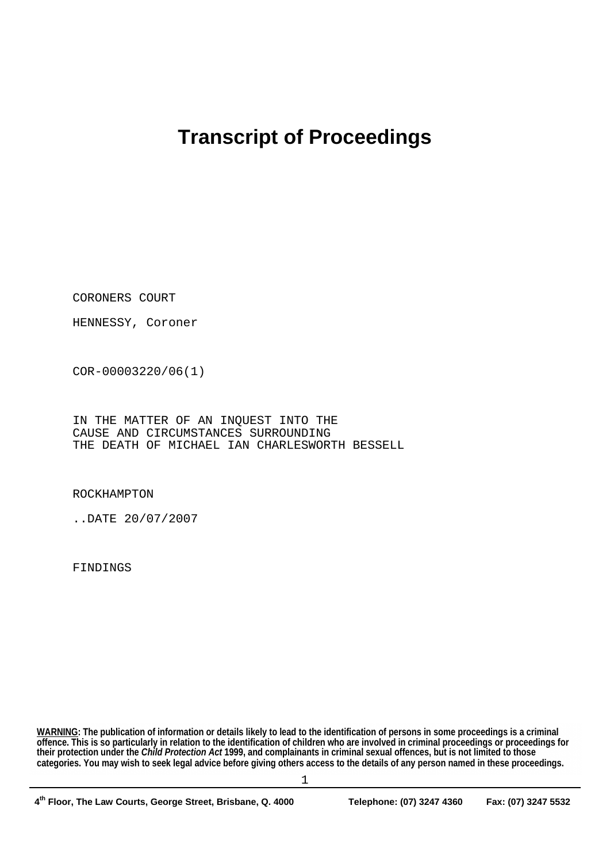## **Transcript of Proceedings**

CORONERS COURT

HENNESSY, Coroner

COR-00003220/06(1)

IN THE MATTER OF AN INQUEST INTO THE CAUSE AND CIRCUMSTANCES SURROUNDING THE DEATH OF MICHAEL IAN CHARLESWORTH BESSELL

ROCKHAMPTON

..DATE 20/07/2007

FINDINGS

**WARNING: The publication of information or details likely to lead to the identification of persons in some proceedings is a criminal offence. This is so particularly in relation to the identification of children who are involved in criminal proceedings or proceedings for their protection under the** *Child Protection Act* **1999, and complainants in criminal sexual offences, but is not limited to those categories. You may wish to seek legal advice before giving others access to the details of any person named in these proceedings.**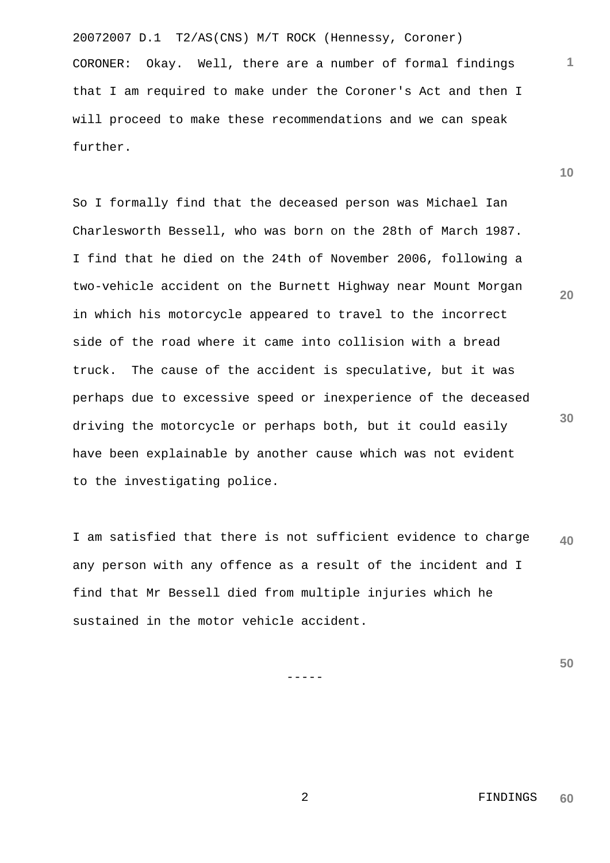20072007 D.1 T2/AS(CNS) M/T ROCK (Hennessy, Coroner) CORONER: Okay. Well, there are a number of formal findings that I am required to make under the Coroner's Act and then I will proceed to make these recommendations and we can speak further.

So I formally find that the deceased person was Michael Ian Charlesworth Bessell, who was born on the 28th of March 1987. I find that he died on the 24th of November 2006, following a two-vehicle accident on the Burnett Highway near Mount Morgan in which his motorcycle appeared to travel to the incorrect side of the road where it came into collision with a bread truck. The cause of the accident is speculative, but it was perhaps due to excessive speed or inexperience of the deceased driving the motorcycle or perhaps both, but it could easily have been explainable by another cause which was not evident to the investigating police.

**40** I am satisfied that there is not sufficient evidence to charge any person with any offence as a result of the incident and I find that Mr Bessell died from multiple injuries which he sustained in the motor vehicle accident.

**50**

-----

**10**

**20**

**30**

**1**